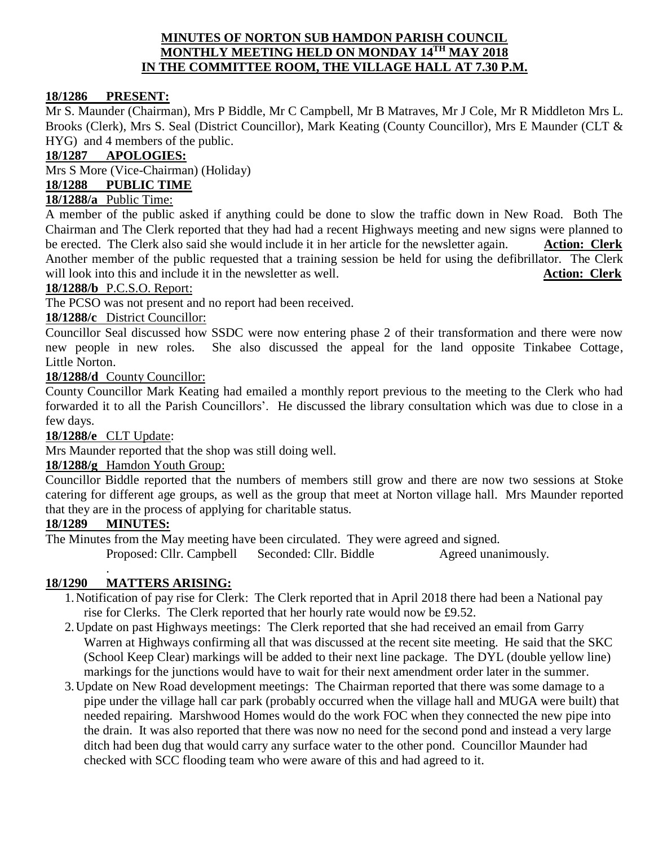### **MINUTES OF NORTON SUB HAMDON PARISH COUNCIL MONTHLY MEETING HELD ON MONDAY 14TH MAY 2018 IN THE COMMITTEE ROOM, THE VILLAGE HALL AT 7.30 P.M.**

### **18/1286 PRESENT:**

Mr S. Maunder (Chairman), Mrs P Biddle, Mr C Campbell, Mr B Matraves, Mr J Cole, Mr R Middleton Mrs L. Brooks (Clerk), Mrs S. Seal (District Councillor), Mark Keating (County Councillor), Mrs E Maunder (CLT & HYG) and 4 members of the public.

### **18/1287 APOLOGIES:**

Mrs S More (Vice-Chairman) (Holiday)

# **18/1288 PUBLIC TIME**

# **18/1288/a** Public Time:

A member of the public asked if anything could be done to slow the traffic down in New Road. Both The Chairman and The Clerk reported that they had had a recent Highways meeting and new signs were planned to be erected. The Clerk also said she would include it in her article for the newsletter again. **Action: Clerk** Another member of the public requested that a training session be held for using the defibrillator. The Clerk will look into this and include it in the newsletter as well. **Action: Clerk** 

### **18/1288/b** P.C.S.O. Report:

The PCSO was not present and no report had been received.

### **18/1288/c** District Councillor:

Councillor Seal discussed how SSDC were now entering phase 2 of their transformation and there were now new people in new roles. She also discussed the appeal for the land opposite Tinkabee Cottage, Little Norton.

### **18/1288/d** County Councillor:

County Councillor Mark Keating had emailed a monthly report previous to the meeting to the Clerk who had forwarded it to all the Parish Councillors'. He discussed the library consultation which was due to close in a few days.

**18/1288/e** CLT Update:

Mrs Maunder reported that the shop was still doing well.

### **18/1288/g** Hamdon Youth Group:

Councillor Biddle reported that the numbers of members still grow and there are now two sessions at Stoke catering for different age groups, as well as the group that meet at Norton village hall. Mrs Maunder reported that they are in the process of applying for charitable status.

### **18/1289 MINUTES:**

.

The Minutes from the May meeting have been circulated. They were agreed and signed. Proposed: Cllr. Campbell Seconded: Cllr. Biddle Agreed unanimously.

### **18/1290 MATTERS ARISING:**

- 1.Notification of pay rise for Clerk: The Clerk reported that in April 2018 there had been a National pay rise for Clerks. The Clerk reported that her hourly rate would now be £9.52.
- 2.Update on past Highways meetings: The Clerk reported that she had received an email from Garry Warren at Highways confirming all that was discussed at the recent site meeting. He said that the SKC (School Keep Clear) markings will be added to their next line package. The DYL (double yellow line) markings for the junctions would have to wait for their next amendment order later in the summer.
- 3.Update on New Road development meetings: The Chairman reported that there was some damage to a pipe under the village hall car park (probably occurred when the village hall and MUGA were built) that needed repairing. Marshwood Homes would do the work FOC when they connected the new pipe into the drain. It was also reported that there was now no need for the second pond and instead a very large ditch had been dug that would carry any surface water to the other pond. Councillor Maunder had checked with SCC flooding team who were aware of this and had agreed to it.